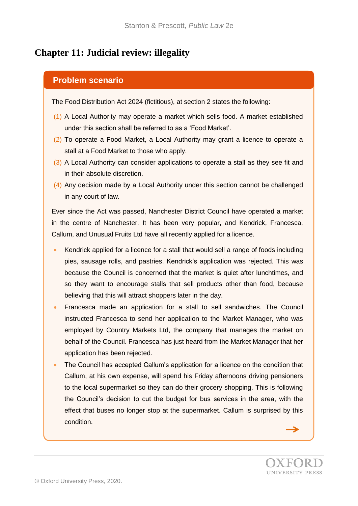## **Chapter 11: Judicial review: illegality**

## **Problem scenario**

The Food Distribution Act 2024 (fictitious), at section 2 states the following:

- (1) A Local Authority may operate a market which sells food. A market established under this section shall be referred to as a 'Food Market'.
- (2) To operate a Food Market, a Local Authority may grant a licence to operate a stall at a Food Market to those who apply.
- (3) A Local Authority can consider applications to operate a stall as they see fit and in their absolute discretion.
- (4) Any decision made by a Local Authority under this section cannot be challenged in any court of law.

Ever since the Act was passed, Nanchester District Council have operated a market in the centre of Nanchester. It has been very popular, and Kendrick, Francesca, Callum, and Unusual Fruits Ltd have all recently applied for a licence.

- Kendrick applied for a licence for a stall that would sell a range of foods including pies, sausage rolls, and pastries. Kendrick's application was rejected. This was because the Council is concerned that the market is quiet after lunchtimes, and so they want to encourage stalls that sell products other than food, because believing that this will attract shoppers later in the day.
- Francesca made an application for a stall to sell sandwiches. The Council instructed Francesca to send her application to the Market Manager, who was employed by Country Markets Ltd, the company that manages the market on behalf of the Council. Francesca has just heard from the Market Manager that her application has been rejected.
- The Council has accepted Callum's application for a licence on the condition that Callum, at his own expense, will spend his Friday afternoons driving pensioners to the local supermarket so they can do their grocery shopping. This is following the Council's decision to cut the budget for bus services in the area, with the effect that buses no longer stop at the supermarket. Callum is surprised by this condition.

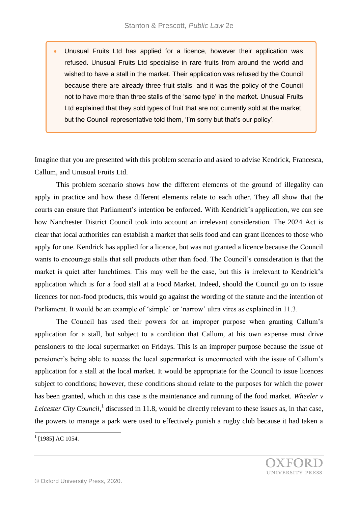Unusual Fruits Ltd has applied for a licence, however their application was refused. Unusual Fruits Ltd specialise in rare fruits from around the world and wished to have a stall in the market. Their application was refused by the Council because there are already three fruit stalls, and it was the policy of the Council not to have more than three stalls of the 'same type' in the market. Unusual Fruits Ltd explained that they sold types of fruit that are not currently sold at the market, but the Council representative told them, 'I'm sorry but that's our policy'.

Imagine that you are presented with this problem scenario and asked to advise Kendrick, Francesca, Callum, and Unusual Fruits Ltd.

This problem scenario shows how the different elements of the ground of illegality can apply in practice and how these different elements relate to each other. They all show that the courts can ensure that Parliament's intention be enforced. With Kendrick's application, we can see how Nanchester District Council took into account an irrelevant consideration. The 2024 Act is clear that local authorities can establish a market that sells food and can grant licences to those who apply for one. Kendrick has applied for a licence, but was not granted a licence because the Council wants to encourage stalls that sell products other than food. The Council's consideration is that the market is quiet after lunchtimes. This may well be the case, but this is irrelevant to Kendrick's application which is for a food stall at a Food Market. Indeed, should the Council go on to issue licences for non-food products, this would go against the wording of the statute and the intention of Parliament. It would be an example of 'simple' or 'narrow' ultra vires as explained in 11.3.

The Council has used their powers for an improper purpose when granting Callum's application for a stall, but subject to a condition that Callum, at his own expense must drive pensioners to the local supermarket on Fridays. This is an improper purpose because the issue of pensioner's being able to access the local supermarket is unconnected with the issue of Callum's application for a stall at the local market. It would be appropriate for the Council to issue licences subject to conditions; however, these conditions should relate to the purposes for which the power has been granted, which in this case is the maintenance and running of the food market. *Wheeler v*  Leicester City Council,<sup>1</sup> discussed in 11.8, would be directly relevant to these issues as, in that case, the powers to manage a park were used to effectively punish a rugby club because it had taken a

<sup>&</sup>lt;sup>1</sup> [1985] AC 1054.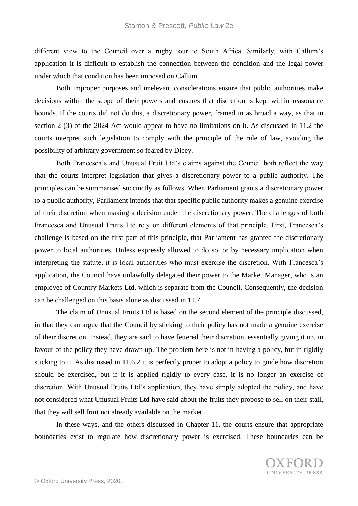different view to the Council over a rugby tour to South Africa. Similarly, with Callum's application it is difficult to establish the connection between the condition and the legal power under which that condition has been imposed on Callum.

Both improper purposes and irrelevant considerations ensure that public authorities make decisions within the scope of their powers and ensures that discretion is kept within reasonable bounds. If the courts did not do this, a discretionary power, framed in as broad a way, as that in section 2 (3) of the 2024 Act would appear to have no limitations on it. As discussed in 11.2 the courts interpret such legislation to comply with the principle of the rule of law, avoiding the possibility of arbitrary government so feared by Dicey.

Both Francesca's and Unusual Fruit Ltd's claims against the Council both reflect the way that the courts interpret legislation that gives a discretionary power to a public authority. The principles can be summarised succinctly as follows. When Parliament grants a discretionary power to a public authority, Parliament intends that that specific public authority makes a genuine exercise of their discretion when making a decision under the discretionary power. The challenges of both Francesca and Unusual Fruits Ltd rely on different elements of that principle. First, Francesca's challenge is based on the first part of this principle, that Parliament has granted the discretionary power to local authorities. Unless expressly allowed to do so, or by necessary implication when interpreting the statute, it is local authorities who must exercise the discretion. With Francesca's application, the Council have unlawfully delegated their power to the Market Manager, who is an employee of Country Markets Ltd, which is separate from the Council. Consequently, the decision can be challenged on this basis alone as discussed in 11.7.

The claim of Unusual Fruits Ltd is based on the second element of the principle discussed, in that they can argue that the Council by sticking to their policy has not made a genuine exercise of their discretion. Instead, they are said to have fettered their discretion, essentially giving it up, in favour of the policy they have drawn up. The problem here is not in having a policy, but in rigidly sticking to it. As discussed in 11.6.2 it is perfectly proper to adopt a policy to guide how discretion should be exercised, but if it is applied rigidly to every case, it is no longer an exercise of discretion. With Unusual Fruits Ltd's application, they have simply adopted the policy, and have not considered what Unusual Fruits Ltd have said about the fruits they propose to sell on their stall, that they will sell fruit not already available on the market.

In these ways, and the others discussed in Chapter 11, the courts ensure that appropriate boundaries exist to regulate how discretionary power is exercised. These boundaries can be